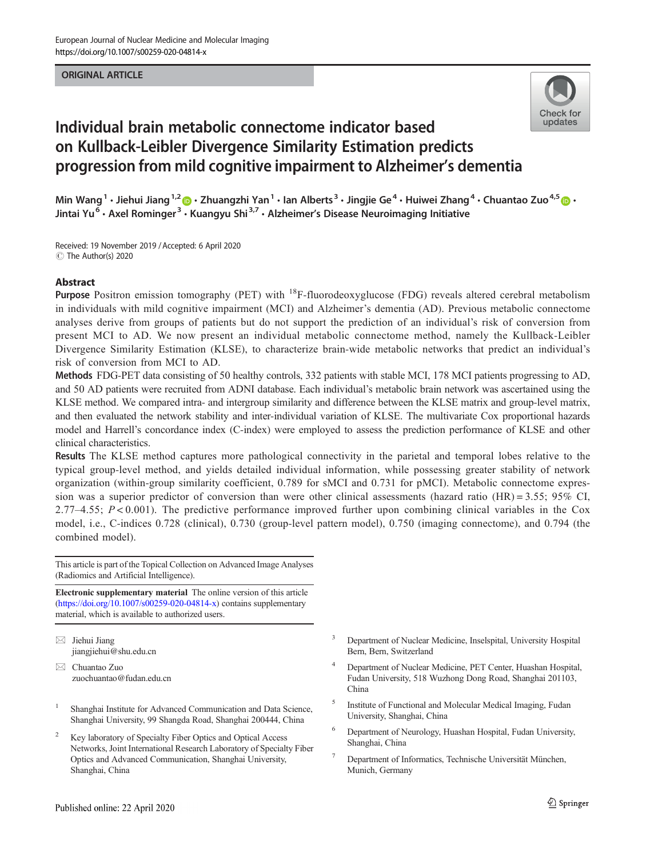# ORIGINAL ARTICLE



# Individual brain metabolic connectome indicator based on Kullback-Leibler Divergence Similarity Estimation predicts progression from mild cognitive impairment to Alzheimer's dementia

Min Wang<sup>1</sup> • Jiehui Jiang<sup>1,2</sup>  $\bullet$  • Zhuangzhi Yan<sup>1</sup> • Ian Alberts<sup>3</sup> • Jingjie Ge<sup>4</sup> • Huiwei Zhang<sup>4</sup> • Chuantao Zuo<sup>4,5</sup>  $\bullet$  • Jintai Yu<sup>6</sup> • Axel Rominger<sup>3</sup> • Kuangyu Shi<sup>3,7</sup> • Alzheimer's Disease Neuroimaging Initiative

Received: 19 November 2019 /Accepted: 6 April 2020  $\circledcirc$  The Author(s) 2020

## Abstract

Purpose Positron emission tomography (PET) with <sup>18</sup>F-fluorodeoxyglucose (FDG) reveals altered cerebral metabolism in individuals with mild cognitive impairment (MCI) and Alzheimer's dementia (AD). Previous metabolic connectome analyses derive from groups of patients but do not support the prediction of an individual's risk of conversion from present MCI to AD. We now present an individual metabolic connectome method, namely the Kullback-Leibler Divergence Similarity Estimation (KLSE), to characterize brain-wide metabolic networks that predict an individual's risk of conversion from MCI to AD.

Methods FDG-PET data consisting of 50 healthy controls, 332 patients with stable MCI, 178 MCI patients progressing to AD, and 50 AD patients were recruited from ADNI database. Each individual's metabolic brain network was ascertained using the KLSE method. We compared intra- and intergroup similarity and difference between the KLSE matrix and group-level matrix, and then evaluated the network stability and inter-individual variation of KLSE. The multivariate Cox proportional hazards model and Harrell's concordance index (C-index) were employed to assess the prediction performance of KLSE and other clinical characteristics.

Results The KLSE method captures more pathological connectivity in the parietal and temporal lobes relative to the typical group-level method, and yields detailed individual information, while possessing greater stability of network organization (within-group similarity coefficient, 0.789 for sMCI and 0.731 for pMCI). Metabolic connectome expression was a superior predictor of conversion than were other clinical assessments (hazard ratio (HR) = 3.55; 95% CI, 2.77–4.55;  $P < 0.001$ ). The predictive performance improved further upon combining clinical variables in the Cox model, i.e., C-indices 0.728 (clinical), 0.730 (group-level pattern model), 0.750 (imaging connectome), and 0.794 (the combined model).

This article is part of the Topical Collection on Advanced Image Analyses (Radiomics and Artificial Intelligence).

Electronic supplementary material The online version of this article ([https://doi.org/10.1007/s00259-020-04814-x\)](https://doi.org/10.1007/s00259-020-04814-x) contains supplementary material, which is available to authorized users.

- $\boxtimes$  Jiehui Jiang [jiangjiehui@shu.edu.cn](mailto:jiangjiehui@shu.edu.cn)
- $\boxtimes$  Chuantao Zuo [zuochuantao@fudan.edu.cn](mailto:zuochuantao@fudan.edu.cn)
- <sup>1</sup> Shanghai Institute for Advanced Communication and Data Science, Shanghai University, 99 Shangda Road, Shanghai 200444, China
- <sup>2</sup> Key laboratory of Specialty Fiber Optics and Optical Access Networks, Joint International Research Laboratory of Specialty Fiber Optics and Advanced Communication, Shanghai University, Shanghai, China
- <sup>3</sup> Department of Nuclear Medicine, Inselspital, University Hospital Bern, Bern, Switzerland
- <sup>4</sup> Department of Nuclear Medicine, PET Center, Huashan Hospital, Fudan University, 518 Wuzhong Dong Road, Shanghai 201103, China
- <sup>5</sup> Institute of Functional and Molecular Medical Imaging, Fudan University, Shanghai, China
- <sup>6</sup> Department of Neurology, Huashan Hospital, Fudan University, Shanghai, China
- <sup>7</sup> Department of Informatics, Technische Universität München, Munich, Germany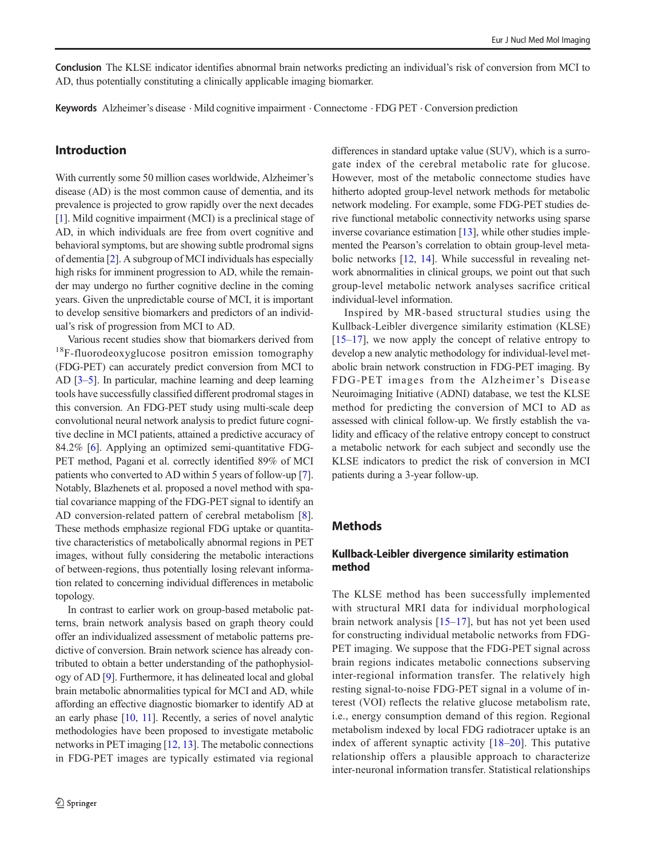Conclusion The KLSE indicator identifies abnormal brain networks predicting an individual's risk of conversion from MCI to AD, thus potentially constituting a clinically applicable imaging biomarker.

Keywords Alzheimer's disease . Mild cognitive impairment . Connectome . FDG PET . Conversion prediction

# Introduction

With currently some 50 million cases worldwide, Alzheimer's disease (AD) is the most common cause of dementia, and its prevalence is projected to grow rapidly over the next decades [\[1](#page-11-0)]. Mild cognitive impairment (MCI) is a preclinical stage of AD, in which individuals are free from overt cognitive and behavioral symptoms, but are showing subtle prodromal signs of dementia [\[2](#page-11-0)]. A subgroup of MCI individuals has especially high risks for imminent progression to AD, while the remainder may undergo no further cognitive decline in the coming years. Given the unpredictable course of MCI, it is important to develop sensitive biomarkers and predictors of an individual's risk of progression from MCI to AD.

Various recent studies show that biomarkers derived from <sup>18</sup>F-fluorodeoxyglucose positron emission tomography (FDG-PET) can accurately predict conversion from MCI to AD [\[3](#page-11-0)–[5](#page-11-0)]. In particular, machine learning and deep learning tools have successfully classified different prodromal stages in this conversion. An FDG-PET study using multi-scale deep convolutional neural network analysis to predict future cognitive decline in MCI patients, attained a predictive accuracy of 84.2% [\[6](#page-11-0)]. Applying an optimized semi-quantitative FDG-PET method, Pagani et al. correctly identified 89% of MCI patients who converted to AD within 5 years of follow-up [[7\]](#page-11-0). Notably, Blazhenets et al. proposed a novel method with spatial covariance mapping of the FDG-PET signal to identify an AD conversion-related pattern of cerebral metabolism [\[8](#page-11-0)]. These methods emphasize regional FDG uptake or quantitative characteristics of metabolically abnormal regions in PET images, without fully considering the metabolic interactions of between-regions, thus potentially losing relevant information related to concerning individual differences in metabolic topology.

In contrast to earlier work on group-based metabolic patterns, brain network analysis based on graph theory could offer an individualized assessment of metabolic patterns predictive of conversion. Brain network science has already contributed to obtain a better understanding of the pathophysiology of AD [[9\]](#page-11-0). Furthermore, it has delineated local and global brain metabolic abnormalities typical for MCI and AD, while affording an effective diagnostic biomarker to identify AD at an early phase [\[10,](#page-11-0) [11](#page-11-0)]. Recently, a series of novel analytic methodologies have been proposed to investigate metabolic networks in PET imaging [\[12,](#page-11-0) [13](#page-11-0)]. The metabolic connections in FDG-PET images are typically estimated via regional differences in standard uptake value (SUV), which is a surrogate index of the cerebral metabolic rate for glucose. However, most of the metabolic connectome studies have hitherto adopted group-level network methods for metabolic network modeling. For example, some FDG-PET studies derive functional metabolic connectivity networks using sparse inverse covariance estimation [\[13\]](#page-11-0), while other studies implemented the Pearson's correlation to obtain group-level metabolic networks [[12,](#page-11-0) [14\]](#page-11-0). While successful in revealing network abnormalities in clinical groups, we point out that such group-level metabolic network analyses sacrifice critical individual-level information.

Inspired by MR-based structural studies using the Kullback-Leibler divergence similarity estimation (KLSE)  $[15–17]$  $[15–17]$  $[15–17]$  $[15–17]$ , we now apply the concept of relative entropy to develop a new analytic methodology for individual-level metabolic brain network construction in FDG-PET imaging. By FDG-PET images from the Alzheimer's Disease Neuroimaging Initiative (ADNI) database, we test the KLSE method for predicting the conversion of MCI to AD as assessed with clinical follow-up. We firstly establish the validity and efficacy of the relative entropy concept to construct a metabolic network for each subject and secondly use the KLSE indicators to predict the risk of conversion in MCI patients during a 3-year follow-up.

# **Methods**

## Kullback-Leibler divergence similarity estimation method

The KLSE method has been successfully implemented with structural MRI data for individual morphological brain network analysis [\[15](#page-11-0)–[17\]](#page-11-0), but has not yet been used for constructing individual metabolic networks from FDG-PET imaging. We suppose that the FDG-PET signal across brain regions indicates metabolic connections subserving inter-regional information transfer. The relatively high resting signal-to-noise FDG-PET signal in a volume of interest (VOI) reflects the relative glucose metabolism rate, i.e., energy consumption demand of this region. Regional metabolism indexed by local FDG radiotracer uptake is an index of afferent synaptic activity  $[18–20]$  $[18–20]$  $[18–20]$  $[18–20]$  $[18–20]$ . This putative relationship offers a plausible approach to characterize inter-neuronal information transfer. Statistical relationships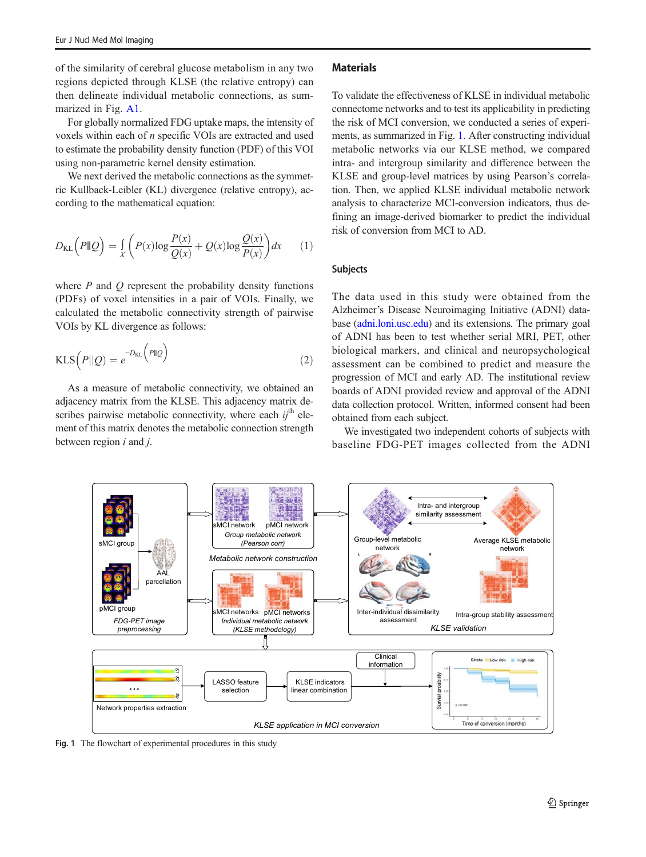of the similarity of cerebral glucose metabolism in any two regions depicted through KLSE (the relative entropy) can then delineate individual metabolic connections, as summarized in Fig. A1.

For globally normalized FDG uptake maps, the intensity of voxels within each of n specific VOIs are extracted and used to estimate the probability density function (PDF) of this VOI using non-parametric kernel density estimation.

We next derived the metabolic connections as the symmetric Kullback-Leibler (KL) divergence (relative entropy), according to the mathematical equation:

$$
D_{\text{KL}}\left(P\|\mathcal{Q}\right) = \int\limits_X \left(P(x)\log\frac{P(x)}{Q(x)} + Q(x)\log\frac{Q(x)}{P(x)}\right)dx\qquad(1)
$$

where  $P$  and  $Q$  represent the probability density functions (PDFs) of voxel intensities in a pair of VOIs. Finally, we calculated the metabolic connectivity strength of pairwise VOIs by KL divergence as follows:

$$
KLS\left(P||Q\right) = e^{-D_{KL}\left(P||Q\right)}\tag{2}
$$

As a measure of metabolic connectivity, we obtained an adjacency matrix from the KLSE. This adjacency matrix describes pairwise metabolic connectivity, where each  $i\dot{t}$ <sup>th</sup> element of this matrix denotes the metabolic connection strength between region  $i$  and  $j$ .

### **Materials**

To validate the effectiveness of KLSE in individual metabolic connectome networks and to test its applicability in predicting the risk of MCI conversion, we conducted a series of experiments, as summarized in Fig. 1. After constructing individual metabolic networks via our KLSE method, we compared intra- and intergroup similarity and difference between the KLSE and group-level matrices by using Pearson's correlation. Then, we applied KLSE individual metabolic network analysis to characterize MCI-conversion indicators, thus defining an image-derived biomarker to predict the individual risk of conversion from MCI to AD.

#### Subjects

The data used in this study were obtained from the Alzheimer's Disease Neuroimaging Initiative (ADNI) database [\(adni.loni.usc.edu](http://creativecommons.org/licenses/by/4.0/)) and its extensions. The primary goal of ADNI has been to test whether serial MRI, PET, other biological markers, and clinical and neuropsychological assessment can be combined to predict and measure the progression of MCI and early AD. The institutional review boards of ADNI provided review and approval of the ADNI data collection protocol. Written, informed consent had been obtained from each subject.

We investigated two independent cohorts of subjects with baseline FDG-PET images collected from the ADNI



Fig. 1 The flowchart of experimental procedures in this study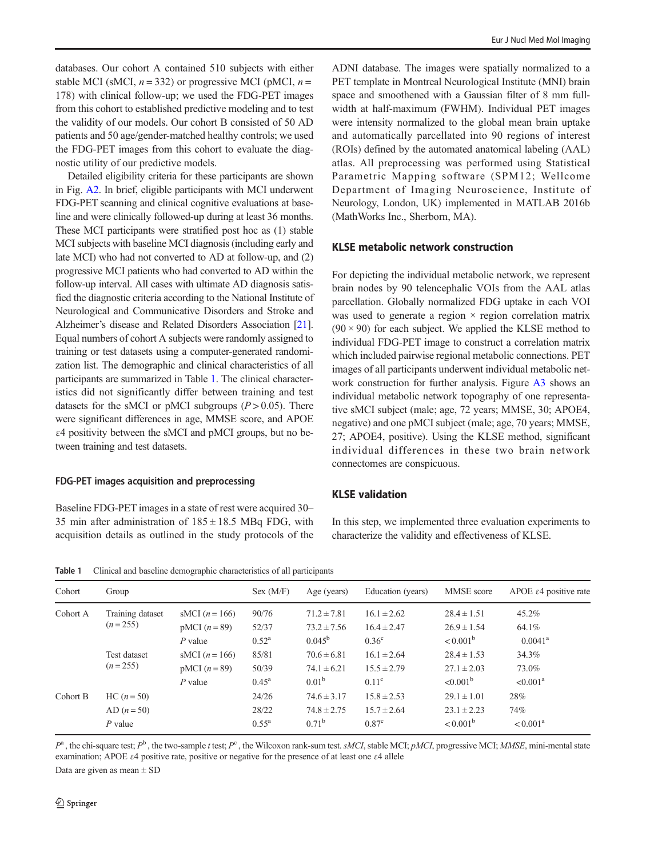databases. Our cohort A contained 510 subjects with either stable MCI (sMCI,  $n = 332$ ) or progressive MCI (pMCI,  $n =$ 178) with clinical follow-up; we used the FDG-PET images from this cohort to established predictive modeling and to test the validity of our models. Our cohort B consisted of 50 AD patients and 50 age/gender-matched healthy controls; we used the FDG-PET images from this cohort to evaluate the diagnostic utility of our predictive models.

Detailed eligibility criteria for these participants are shown in Fig. A2. In brief, eligible participants with MCI underwent FDG-PET scanning and clinical cognitive evaluations at baseline and were clinically followed-up during at least 36 months. These MCI participants were stratified post hoc as (1) stable MCI subjects with baseline MCI diagnosis (including early and late MCI) who had not converted to AD at follow-up, and (2) progressive MCI patients who had converted to AD within the follow-up interval. All cases with ultimate AD diagnosis satisfied the diagnostic criteria according to the National Institute of Neurological and Communicative Disorders and Stroke and Alzheimer's disease and Related Disorders Association [\[21\]](#page-11-0). Equal numbers of cohort A subjects were randomly assigned to training or test datasets using a computer-generated randomization list. The demographic and clinical characteristics of all participants are summarized in Table 1. The clinical characteristics did not significantly differ between training and test datasets for the sMCI or pMCI subgroups  $(P > 0.05)$ . There were significant differences in age, MMSE score, and APOE ε4 positivity between the sMCI and pMCI groups, but no between training and test datasets.

#### FDG-PET images acquisition and preprocessing

Baseline FDG-PET images in a state of rest were acquired 30– 35 min after administration of  $185 \pm 18.5$  MBq FDG, with acquisition details as outlined in the study protocols of the

ADNI database. The images were spatially normalized to a PET template in Montreal Neurological Institute (MNI) brain space and smoothened with a Gaussian filter of 8 mm fullwidth at half-maximum (FWHM). Individual PET images were intensity normalized to the global mean brain uptake and automatically parcellated into 90 regions of interest (ROIs) defined by the automated anatomical labeling (AAL) atlas. All preprocessing was performed using Statistical Parametric Mapping software (SPM12; Wellcome Department of Imaging Neuroscience, Institute of Neurology, London, UK) implemented in MATLAB 2016b (MathWorks Inc., Sherborn, MA).

## KLSE metabolic network construction

For depicting the individual metabolic network, we represent brain nodes by 90 telencephalic VOIs from the AAL atlas parcellation. Globally normalized FDG uptake in each VOI was used to generate a region  $\times$  region correlation matrix  $(90 \times 90)$  for each subject. We applied the KLSE method to individual FDG-PET image to construct a correlation matrix which included pairwise regional metabolic connections. PET images of all participants underwent individual metabolic network construction for further analysis. Figure A3 shows an individual metabolic network topography of one representative sMCI subject (male; age, 72 years; MMSE, 30; APOE4, negative) and one pMCI subject (male; age, 70 years; MMSE, 27; APOE4, positive). Using the KLSE method, significant individual differences in these two brain network connectomes are conspicuous.

### KLSE validation

In this step, we implemented three evaluation experiments to characterize the validity and effectiveness of KLSE.

Table 1 Clinical and baseline demographic characteristics of all participants

| Cohort   | Group                                                      |                                                                                   | Sex (M/F)                                          | Age (years)                                                                                 | Education (years)                                                                             | MMSE score                                                                                    | APOE $\epsilon$ 4 positive rate                         |
|----------|------------------------------------------------------------|-----------------------------------------------------------------------------------|----------------------------------------------------|---------------------------------------------------------------------------------------------|-----------------------------------------------------------------------------------------------|-----------------------------------------------------------------------------------------------|---------------------------------------------------------|
| Cohort A | Training dataset<br>$(n=255)$<br>Test dataset<br>$(n=255)$ | sMCI $(n = 166)$<br>$pMCI(n=89)$<br>$P$ value<br>sMCI $(n = 166)$<br>$pMCI(n=89)$ | 90/76<br>52/37<br>$0.52^{\rm a}$<br>85/81<br>50/39 | $71.2 \pm 7.81$<br>$73.2 \pm 7.56$<br>$0.045^{\rm b}$<br>$70.6 \pm 6.81$<br>$74.1 \pm 6.21$ | $16.1 \pm 2.62$<br>$16.4 \pm 2.47$<br>0.36 <sup>c</sup><br>$16.1 \pm 2.64$<br>$15.5 \pm 2.79$ | $28.4 \pm 1.51$<br>$26.9 \pm 1.54$<br>$< 0.001^{\rm b}$<br>$28.4 \pm 1.53$<br>$27.1 \pm 2.03$ | 45.2%<br>64.1%<br>$0.0041^{\rm a}$<br>34.3%<br>73.0%    |
| Cohort B | $HC (n = 50)$<br>$AD (n = 50)$<br>$P$ value                | $P$ value                                                                         | $0.45^{\rm a}$<br>24/26<br>28/22<br>$0.55^{\rm a}$ | 0.01 <sup>b</sup><br>$74.6 \pm 3.17$<br>$74.8 \pm 2.75$<br>$0.71^{\rm b}$                   | $0.11^{\circ}$<br>$15.8 \pm 2.53$<br>$15.7 \pm 2.64$<br>0.87 <sup>c</sup>                     | $< 0.001^{\rm b}$<br>$29.1 \pm 1.01$<br>$23.1 \pm 2.23$<br>$< 0.001^{\rm b}$                  | $\leq 0.001^{\rm a}$<br>28%<br>74%<br>$< 0.001^{\rm a}$ |

 $P^{\rm a}$ , the chi-square test;  $P^{\rm b}$ , the two-sample t test;  $P^{\rm c}$ , the Wilcoxon rank-sum test. sMCI, stable MCI; pMCI, progressive MCI; MMSE, mini-mental state examination; APOE ε4 positive rate, positive or negative for the presence of at least one ε4 allele

Data are given as mean  $\pm$  SD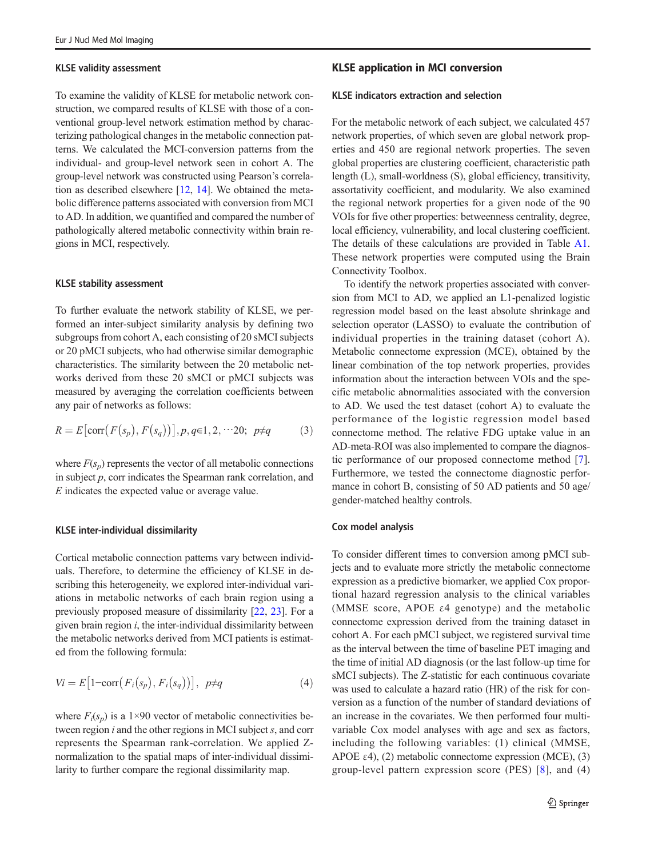#### KLSE validity assessment

To examine the validity of KLSE for metabolic network construction, we compared results of KLSE with those of a conventional group-level network estimation method by characterizing pathological changes in the metabolic connection patterns. We calculated the MCI-conversion patterns from the individual- and group-level network seen in cohort A. The group-level network was constructed using Pearson's correlation as described elsewhere [[12](#page-11-0), [14\]](#page-11-0). We obtained the metabolic difference patterns associated with conversion from MCI to AD. In addition, we quantified and compared the number of pathologically altered metabolic connectivity within brain regions in MCI, respectively.

#### KLSE stability assessment

To further evaluate the network stability of KLSE, we performed an inter-subject similarity analysis by defining two subgroups from cohort A, each consisting of 20 sMCI subjects or 20 pMCI subjects, who had otherwise similar demographic characteristics. The similarity between the 20 metabolic networks derived from these 20 sMCI or pMCI subjects was measured by averaging the correlation coefficients between any pair of networks as follows:

$$
R = E\big[\text{corr}\big(F\big(s_p\big), F\big(s_q\big)\big)\big], p, q \in 1, 2, \cdots 20; \ p \neq q \tag{3}
$$

where  $F(s_n)$  represents the vector of all metabolic connections in subject  $p$ , corr indicates the Spearman rank correlation, and E indicates the expected value or average value.

#### KLSE inter-individual dissimilarity

Cortical metabolic connection patterns vary between individuals. Therefore, to determine the efficiency of KLSE in describing this heterogeneity, we explored inter-individual variations in metabolic networks of each brain region using a previously proposed measure of dissimilarity [\[22](#page-11-0), [23](#page-11-0)]. For a given brain region  $i$ , the inter-individual dissimilarity between the metabolic networks derived from MCI patients is estimated from the following formula:

$$
Vi = E[1 - \text{corr}(F_i(s_p), F_i(s_q))], \ \ p \neq q \tag{4}
$$

where  $F_i(s_p)$  is a 1×90 vector of metabolic connectivities between region  $i$  and the other regions in MCI subject  $s$ , and corr represents the Spearman rank-correlation. We applied Znormalization to the spatial maps of inter-individual dissimilarity to further compare the regional dissimilarity map.

### KLSE application in MCI conversion

#### KLSE indicators extraction and selection

For the metabolic network of each subject, we calculated 457 network properties, of which seven are global network properties and 450 are regional network properties. The seven global properties are clustering coefficient, characteristic path length (L), small-worldness (S), global efficiency, transitivity, assortativity coefficient, and modularity. We also examined the regional network properties for a given node of the 90 VOIs for five other properties: betweenness centrality, degree, local efficiency, vulnerability, and local clustering coefficient. The details of these calculations are provided in Table A1. These network properties were computed using the Brain Connectivity Toolbox.

To identify the network properties associated with conversion from MCI to AD, we applied an L1-penalized logistic regression model based on the least absolute shrinkage and selection operator (LASSO) to evaluate the contribution of individual properties in the training dataset (cohort A). Metabolic connectome expression (MCE), obtained by the linear combination of the top network properties, provides information about the interaction between VOIs and the specific metabolic abnormalities associated with the conversion to AD. We used the test dataset (cohort A) to evaluate the performance of the logistic regression model based connectome method. The relative FDG uptake value in an AD-meta-ROI was also implemented to compare the diagnostic performance of our proposed connectome method [\[7](#page-11-0)]. Furthermore, we tested the connectome diagnostic performance in cohort B, consisting of 50 AD patients and 50 age/ gender-matched healthy controls.

#### Cox model analysis

To consider different times to conversion among pMCI subjects and to evaluate more strictly the metabolic connectome expression as a predictive biomarker, we applied Cox proportional hazard regression analysis to the clinical variables (MMSE score, APOE ε4 genotype) and the metabolic connectome expression derived from the training dataset in cohort A. For each pMCI subject, we registered survival time as the interval between the time of baseline PET imaging and the time of initial AD diagnosis (or the last follow-up time for sMCI subjects). The Z-statistic for each continuous covariate was used to calculate a hazard ratio (HR) of the risk for conversion as a function of the number of standard deviations of an increase in the covariates. We then performed four multivariable Cox model analyses with age and sex as factors, including the following variables: (1) clinical (MMSE, APOE  $\varepsilon$ 4), (2) metabolic connectome expression (MCE), (3) group-level pattern expression score (PES) [[8](#page-11-0)], and (4)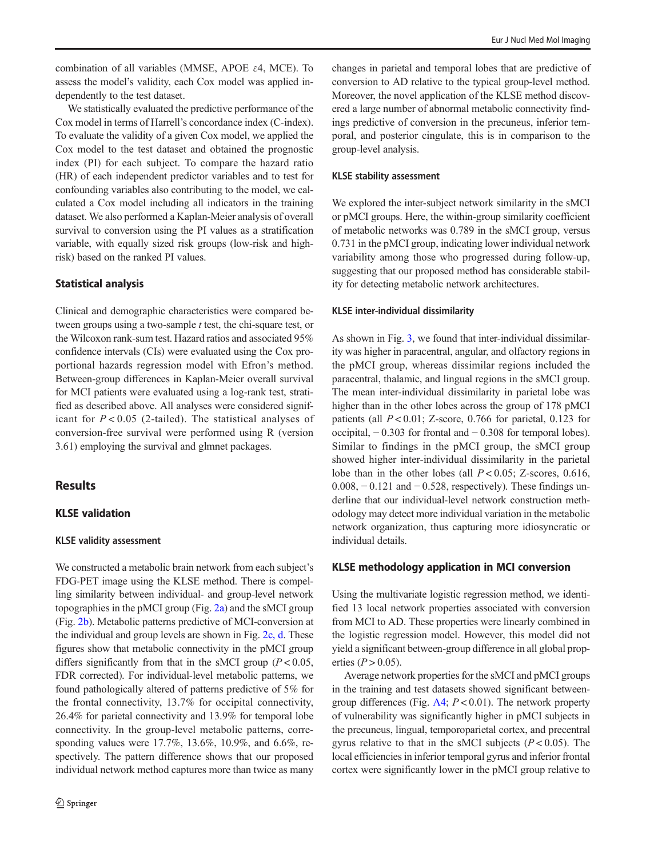combination of all variables (MMSE, APOE ε4, MCE). To assess the model's validity, each Cox model was applied independently to the test dataset.

We statistically evaluated the predictive performance of the Cox model in terms of Harrell's concordance index (C-index). To evaluate the validity of a given Cox model, we applied the Cox model to the test dataset and obtained the prognostic index (PI) for each subject. To compare the hazard ratio (HR) of each independent predictor variables and to test for confounding variables also contributing to the model, we calculated a Cox model including all indicators in the training dataset. We also performed a Kaplan-Meier analysis of overall survival to conversion using the PI values as a stratification variable, with equally sized risk groups (low-risk and highrisk) based on the ranked PI values.

#### Statistical analysis

Clinical and demographic characteristics were compared between groups using a two-sample *t* test, the chi-square test, or the Wilcoxon rank-sum test. Hazard ratios and associated 95% confidence intervals (CIs) were evaluated using the Cox proportional hazards regression model with Efron's method. Between-group differences in Kaplan-Meier overall survival for MCI patients were evaluated using a log-rank test, stratified as described above. All analyses were considered significant for  $P < 0.05$  (2-tailed). The statistical analyses of conversion-free survival were performed using R (version 3.61) employing the survival and glmnet packages.

# **Results**

## KLSE validation

#### KLSE validity assessment

We constructed a metabolic brain network from each subject's FDG-PET image using the KLSE method. There is compelling similarity between individual- and group-level network topographies in the pMCI group (Fig. [2a\)](#page-6-0) and the sMCI group (Fig. [2b\)](#page-6-0). Metabolic patterns predictive of MCI-conversion at the individual and group levels are shown in Fig. [2c, d](#page-6-0). These figures show that metabolic connectivity in the pMCI group differs significantly from that in the sMCI group  $(P < 0.05$ , FDR corrected). For individual-level metabolic patterns, we found pathologically altered of patterns predictive of 5% for the frontal connectivity, 13.7% for occipital connectivity, 26.4% for parietal connectivity and 13.9% for temporal lobe connectivity. In the group-level metabolic patterns, corresponding values were 17.7%, 13.6%, 10.9%, and 6.6%, respectively. The pattern difference shows that our proposed individual network method captures more than twice as many

changes in parietal and temporal lobes that are predictive of conversion to AD relative to the typical group-level method. Moreover, the novel application of the KLSE method discovered a large number of abnormal metabolic connectivity findings predictive of conversion in the precuneus, inferior temporal, and posterior cingulate, this is in comparison to the group-level analysis.

## KLSE stability assessment

We explored the inter-subject network similarity in the sMCI or pMCI groups. Here, the within-group similarity coefficient of metabolic networks was 0.789 in the sMCI group, versus 0.731 in the pMCI group, indicating lower individual network variability among those who progressed during follow-up, suggesting that our proposed method has considerable stability for detecting metabolic network architectures.

#### KLSE inter-individual dissimilarity

As shown in Fig. [3](#page-7-0), we found that inter-individual dissimilarity was higher in paracentral, angular, and olfactory regions in the pMCI group, whereas dissimilar regions included the paracentral, thalamic, and lingual regions in the sMCI group. The mean inter-individual dissimilarity in parietal lobe was higher than in the other lobes across the group of 178 pMCI patients (all  $P < 0.01$ ; Z-score, 0.766 for parietal, 0.123 for occipital, − 0.303 for frontal and − 0.308 for temporal lobes). Similar to findings in the pMCI group, the sMCI group showed higher inter-individual dissimilarity in the parietal lobe than in the other lobes (all  $P < 0.05$ ; Z-scores, 0.616,  $0.008, -0.121$  and  $-0.528$ , respectively). These findings underline that our individual-level network construction methodology may detect more individual variation in the metabolic network organization, thus capturing more idiosyncratic or individual details.

## KLSE methodology application in MCI conversion

Using the multivariate logistic regression method, we identified 13 local network properties associated with conversion from MCI to AD. These properties were linearly combined in the logistic regression model. However, this model did not yield a significant between-group difference in all global properties ( $P > 0.05$ ).

Average network properties for the sMCI and pMCI groups in the training and test datasets showed significant betweengroup differences (Fig.  $A4$ ;  $P < 0.01$ ). The network property of vulnerability was significantly higher in pMCI subjects in the precuneus, lingual, temporoparietal cortex, and precentral gyrus relative to that in the sMCI subjects ( $P < 0.05$ ). The local efficiencies in inferior temporal gyrus and inferior frontal cortex were significantly lower in the pMCI group relative to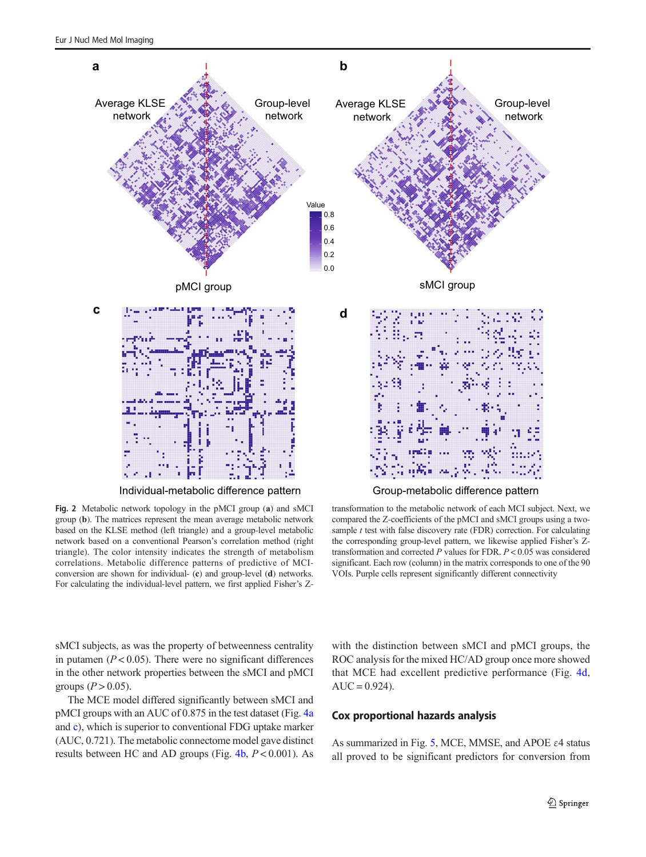<span id="page-6-0"></span>

Fig. 2 Metabolic network topology in the pMCI group (a) and sMCI group (b). The matrices represent the mean average metabolic network based on the KLSE method (left triangle) and a group-level metabolic network based on a conventional Pearson's correlation method (right triangle). The color intensity indicates the strength of metabolism correlations. Metabolic difference patterns of predictive of MCIconversion are shown for individual- (c) and group-level (d) networks. For calculating the individual-level pattern, we first applied Fisher's Z-

transformation to the metabolic network of each MCI subject. Next, we compared the Z-coefficients of the pMCI and sMCI groups using a twosample  $t$  test with false discovery rate (FDR) correction. For calculating the corresponding group-level pattern, we likewise applied Fisher's Ztransformation and corrected  $P$  values for FDR.  $P < 0.05$  was considered significant. Each row (column) in the matrix corresponds to one of the 90 VOIs. Purple cells represent significantly different connectivity

sMCI subjects, as was the property of betweenness centrality in putamen ( $P < 0.05$ ). There were no significant differences in the other network properties between the sMCI and pMCI groups  $(P > 0.05)$ .

The MCE model differed significantly between sMCI and pMCI groups with an AUC of 0.875 in the test dataset (Fig. [4a](#page-8-0) and [c\)](#page-8-0), which is superior to conventional FDG uptake marker (AUC, 0.721). The metabolic connectome model gave distinct results between HC and AD groups (Fig.  $4b$ ,  $P < 0.001$ ). As with the distinction between sMCI and pMCI groups, the ROC analysis for the mixed HC/AD group once more showed that MCE had excellent predictive performance (Fig. [4d,](#page-8-0)  $AUC = 0.924$ .

### Cox proportional hazards analysis

As summarized in Fig. [5](#page-8-0), MCE, MMSE, and APOE  $\varepsilon$ 4 status all proved to be significant predictors for conversion from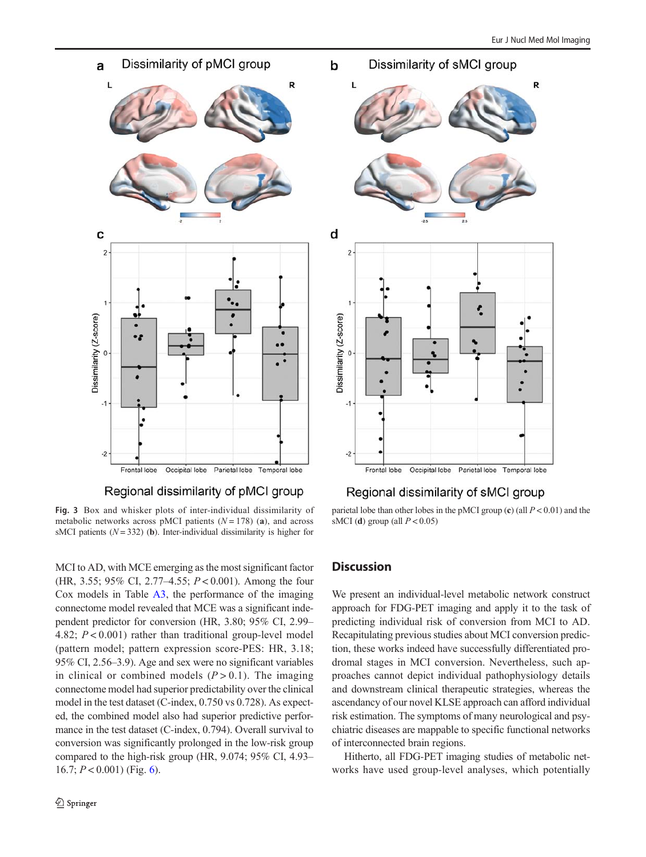<span id="page-7-0"></span>

# Regional dissimilarity of pMCI group

Fig. 3 Box and whisker plots of inter-individual dissimilarity of metabolic networks across pMCI patients  $(N = 178)$  (a), and across sMCI patients  $(N = 332)$  (b). Inter-individual dissimilarity is higher for

MCI to AD, with MCE emerging as the most significant factor (HR, 3.55; 95% CI, 2.77–4.55;  $P < 0.001$ ). Among the four Cox models in Table A3, the performance of the imaging connectome model revealed that MCE was a significant independent predictor for conversion (HR, 3.80; 95% CI, 2.99– 4.82; P < 0.001) rather than traditional group-level model (pattern model; pattern expression score-PES: HR, 3.18; 95% CI, 2.56–3.9). Age and sex were no significant variables in clinical or combined models  $(P > 0.1)$ . The imaging connectome model had superior predictability over the clinical model in the test dataset (C-index, 0.750 vs 0.728). As expected, the combined model also had superior predictive performance in the test dataset (C-index, 0.794). Overall survival to conversion was significantly prolonged in the low-risk group compared to the high-risk group (HR, 9.074; 95% CI, 4.93– 16.7;  $P < 0.001$ ) (Fig. [6\)](#page-9-0).



## Regional dissimilarity of sMCI group

parietal lobe than other lobes in the pMCI group (c) (all  $P < 0.01$ ) and the sMCI (d) group (all  $P < 0.05$ )

# **Discussion**

We present an individual-level metabolic network construct approach for FDG-PET imaging and apply it to the task of predicting individual risk of conversion from MCI to AD. Recapitulating previous studies about MCI conversion prediction, these works indeed have successfully differentiated prodromal stages in MCI conversion. Nevertheless, such approaches cannot depict individual pathophysiology details and downstream clinical therapeutic strategies, whereas the ascendancy of our novel KLSE approach can afford individual risk estimation. The symptoms of many neurological and psychiatric diseases are mappable to specific functional networks of interconnected brain regions.

Hitherto, all FDG-PET imaging studies of metabolic networks have used group-level analyses, which potentially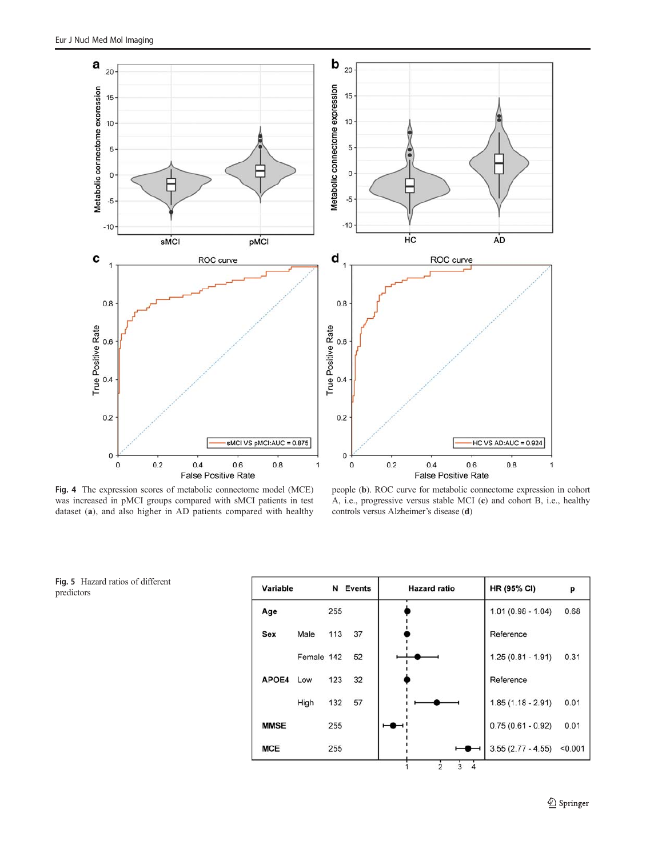<span id="page-8-0"></span>

Fig. 4 The expression scores of metabolic connectome model (MCE) was increased in pMCI groups compared with sMCI patients in test dataset (a), and also higher in AD patients compared with healthy

people (b). ROC curve for metabolic connectome expression in cohort A, i.e., progressive versus stable MCI (c) and cohort B, i.e., healthy controls versus Alzheimer's disease (d)

Fig. 5 Hazard ratios of different predictors

| Variable    |            |     | N Events | <b>Hazard ratio</b> | <b>HR (95% CI)</b>  | p       |
|-------------|------------|-----|----------|---------------------|---------------------|---------|
| Age         |            | 255 |          |                     | $1.01(0.98 - 1.04)$ | 0.68    |
| Sex         | Male       | 113 | 37       |                     | Reference           |         |
|             | Female 142 |     | 52       |                     | $1.25(0.81 - 1.91)$ | 0.31    |
| APOE4 Low   |            | 123 | 32       |                     | Reference           |         |
|             | High       | 132 | 57       |                     | $1.85(1.18 - 2.91)$ | 0.01    |
| <b>MMSE</b> |            | 255 |          |                     | $0.75(0.61 - 0.92)$ | 0.01    |
| <b>MCE</b>  |            | 255 |          |                     | $3.55(2.77 - 4.55)$ | < 0.001 |

1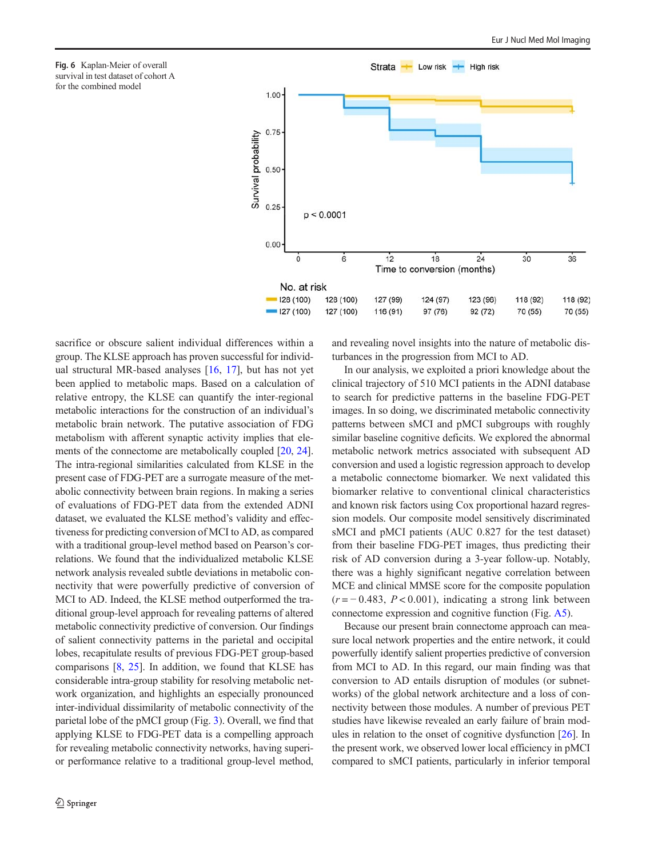<span id="page-9-0"></span>Fig. 6 Kaplan-Meier of overall survival in test dataset of cohort A for the combined model



sacrifice or obscure salient individual differences within a group. The KLSE approach has proven successful for individual structural MR-based analyses [\[16](#page-11-0), [17](#page-11-0)], but has not yet been applied to metabolic maps. Based on a calculation of relative entropy, the KLSE can quantify the inter-regional metabolic interactions for the construction of an individual's metabolic brain network. The putative association of FDG metabolism with afferent synaptic activity implies that elements of the connectome are metabolically coupled [[20](#page-11-0), [24\]](#page-11-0). The intra-regional similarities calculated from KLSE in the present case of FDG-PET are a surrogate measure of the metabolic connectivity between brain regions. In making a series of evaluations of FDG-PET data from the extended ADNI dataset, we evaluated the KLSE method's validity and effectiveness for predicting conversion of MCI to AD, as compared with a traditional group-level method based on Pearson's correlations. We found that the individualized metabolic KLSE network analysis revealed subtle deviations in metabolic connectivity that were powerfully predictive of conversion of MCI to AD. Indeed, the KLSE method outperformed the traditional group-level approach for revealing patterns of altered metabolic connectivity predictive of conversion. Our findings of salient connectivity patterns in the parietal and occipital lobes, recapitulate results of previous FDG-PET group-based comparisons [\[8](#page-11-0), [25](#page-11-0)]. In addition, we found that KLSE has considerable intra-group stability for resolving metabolic network organization, and highlights an especially pronounced inter-individual dissimilarity of metabolic connectivity of the parietal lobe of the pMCI group (Fig. [3\)](#page-7-0). Overall, we find that applying KLSE to FDG-PET data is a compelling approach for revealing metabolic connectivity networks, having superior performance relative to a traditional group-level method,

and revealing novel insights into the nature of metabolic disturbances in the progression from MCI to AD.

In our analysis, we exploited a priori knowledge about the clinical trajectory of 510 MCI patients in the ADNI database to search for predictive patterns in the baseline FDG-PET images. In so doing, we discriminated metabolic connectivity patterns between sMCI and pMCI subgroups with roughly similar baseline cognitive deficits. We explored the abnormal metabolic network metrics associated with subsequent AD conversion and used a logistic regression approach to develop a metabolic connectome biomarker. We next validated this biomarker relative to conventional clinical characteristics and known risk factors using Cox proportional hazard regression models. Our composite model sensitively discriminated sMCI and pMCI patients (AUC 0.827 for the test dataset) from their baseline FDG-PET images, thus predicting their risk of AD conversion during a 3-year follow-up. Notably, there was a highly significant negative correlation between MCE and clinical MMSE score for the composite population  $(r = -0.483, P < 0.001)$ , indicating a strong link between connectome expression and cognitive function (Fig. A5).

Because our present brain connectome approach can measure local network properties and the entire network, it could powerfully identify salient properties predictive of conversion from MCI to AD. In this regard, our main finding was that conversion to AD entails disruption of modules (or subnetworks) of the global network architecture and a loss of connectivity between those modules. A number of previous PET studies have likewise revealed an early failure of brain modules in relation to the onset of cognitive dysfunction [[26\]](#page-11-0). In the present work, we observed lower local efficiency in pMCI compared to sMCI patients, particularly in inferior temporal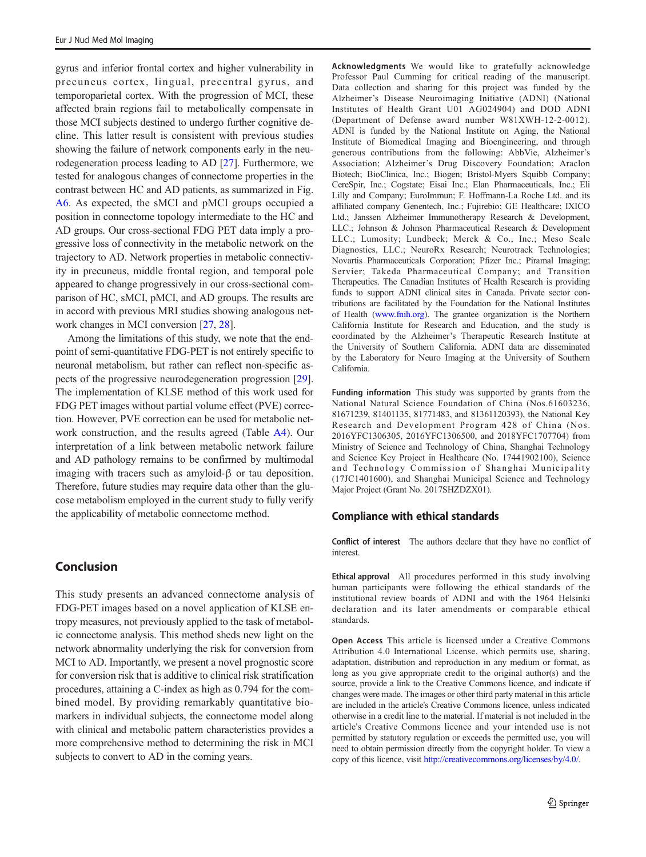gyrus and inferior frontal cortex and higher vulnerability in precuneus cortex, lingual, precentral gyrus, and temporoparietal cortex. With the progression of MCI, these affected brain regions fail to metabolically compensate in those MCI subjects destined to undergo further cognitive decline. This latter result is consistent with previous studies showing the failure of network components early in the neurodegeneration process leading to AD [[27\]](#page-11-0). Furthermore, we tested for analogous changes of connectome properties in the contrast between HC and AD patients, as summarized in Fig. A6. As expected, the sMCI and pMCI groups occupied a position in connectome topology intermediate to the HC and AD groups. Our cross-sectional FDG PET data imply a progressive loss of connectivity in the metabolic network on the trajectory to AD. Network properties in metabolic connectivity in precuneus, middle frontal region, and temporal pole appeared to change progressively in our cross-sectional comparison of HC, sMCI, pMCI, and AD groups. The results are in accord with previous MRI studies showing analogous network changes in MCI conversion [\[27,](#page-11-0) [28\]](#page-11-0).

Among the limitations of this study, we note that the endpoint of semi-quantitative FDG-PET is not entirely specific to neuronal metabolism, but rather can reflect non-specific aspects of the progressive neurodegeneration progression [[29\]](#page-11-0). The implementation of KLSE method of this work used for FDG PET images without partial volume effect (PVE) correction. However, PVE correction can be used for metabolic network construction, and the results agreed (Table A4). Our interpretation of a link between metabolic network failure and AD pathology remains to be confirmed by multimodal imaging with tracers such as amyloid-β or tau deposition. Therefore, future studies may require data other than the glucose metabolism employed in the current study to fully verify the applicability of metabolic connectome method.

# Conclusion

This study presents an advanced connectome analysis of FDG-PET images based on a novel application of KLSE entropy measures, not previously applied to the task of metabolic connectome analysis. This method sheds new light on the network abnormality underlying the risk for conversion from MCI to AD. Importantly, we present a novel prognostic score for conversion risk that is additive to clinical risk stratification procedures, attaining a C-index as high as 0.794 for the combined model. By providing remarkably quantitative biomarkers in individual subjects, the connectome model along with clinical and metabolic pattern characteristics provides a more comprehensive method to determining the risk in MCI subjects to convert to AD in the coming years.

Acknowledgments We would like to gratefully acknowledge Professor Paul Cumming for critical reading of the manuscript. Data collection and sharing for this project was funded by the Alzheimer's Disease Neuroimaging Initiative (ADNI) (National Institutes of Health Grant U01 AG024904) and DOD ADNI (Department of Defense award number W81XWH-12-2-0012). ADNI is funded by the National Institute on Aging, the National Institute of Biomedical Imaging and Bioengineering, and through generous contributions from the following: AbbVie, Alzheimer's Association; Alzheimer's Drug Discovery Foundation; Araclon Biotech; BioClinica, Inc.; Biogen; Bristol-Myers Squibb Company; CereSpir, Inc.; Cogstate; Eisai Inc.; Elan Pharmaceuticals, Inc.; Eli Lilly and Company; EuroImmun; F. Hoffmann-La Roche Ltd. and its affiliated company Genentech, Inc.; Fujirebio; GE Healthcare; IXICO Ltd.; Janssen Alzheimer Immunotherapy Research & Development, LLC.; Johnson & Johnson Pharmaceutical Research & Development LLC.; Lumosity; Lundbeck; Merck & Co., Inc.; Meso Scale Diagnostics, LLC.; NeuroRx Research; Neurotrack Technologies; Novartis Pharmaceuticals Corporation; Pfizer Inc.; Piramal Imaging; Servier; Takeda Pharmaceutical Company; and Transition Therapeutics. The Canadian Institutes of Health Research is providing funds to support ADNI clinical sites in Canada. Private sector contributions are facilitated by the Foundation for the National Institutes of Health [\(www.fnih.org](http://creativecommons.org/licenses/by/4.0/)). The grantee organization is the Northern California Institute for Research and Education, and the study is coordinated by the Alzheimer's Therapeutic Research Institute at the University of Southern California. ADNI data are disseminated by the Laboratory for Neuro Imaging at the University of Southern California.

Funding information This study was supported by grants from the National Natural Science Foundation of China (Nos.61603236, 81671239, 81401135, 81771483, and 81361120393), the National Key Research and Development Program 428 of China (Nos. 2016YFC1306305, 2016YFC1306500, and 2018YFC1707704) from Ministry of Science and Technology of China, Shanghai Technology and Science Key Project in Healthcare (No. 17441902100), Science and Technology Commission of Shanghai Municipality (17JC1401600), and Shanghai Municipal Science and Technology Major Project (Grant No. 2017SHZDZX01).

## Compliance with ethical standards

Conflict of interest The authors declare that they have no conflict of interest.

Ethical approval All procedures performed in this study involving human participants were following the ethical standards of the institutional review boards of ADNI and with the 1964 Helsinki declaration and its later amendments or comparable ethical standards.

Open Access This article is licensed under a Creative Commons Attribution 4.0 International License, which permits use, sharing, adaptation, distribution and reproduction in any medium or format, as long as you give appropriate credit to the original author(s) and the source, provide a link to the Creative Commons licence, and indicate if changes were made. The images or other third party material in this article are included in the article's Creative Commons licence, unless indicated otherwise in a credit line to the material. If material is not included in the article's Creative Commons licence and your intended use is not permitted by statutory regulation or exceeds the permitted use, you will need to obtain permission directly from the copyright holder. To view a copy of this licence, visit [http://creativecommons.org/licenses/by/4.0/.](http://creativecommons.org/licenses/by/4.0/)